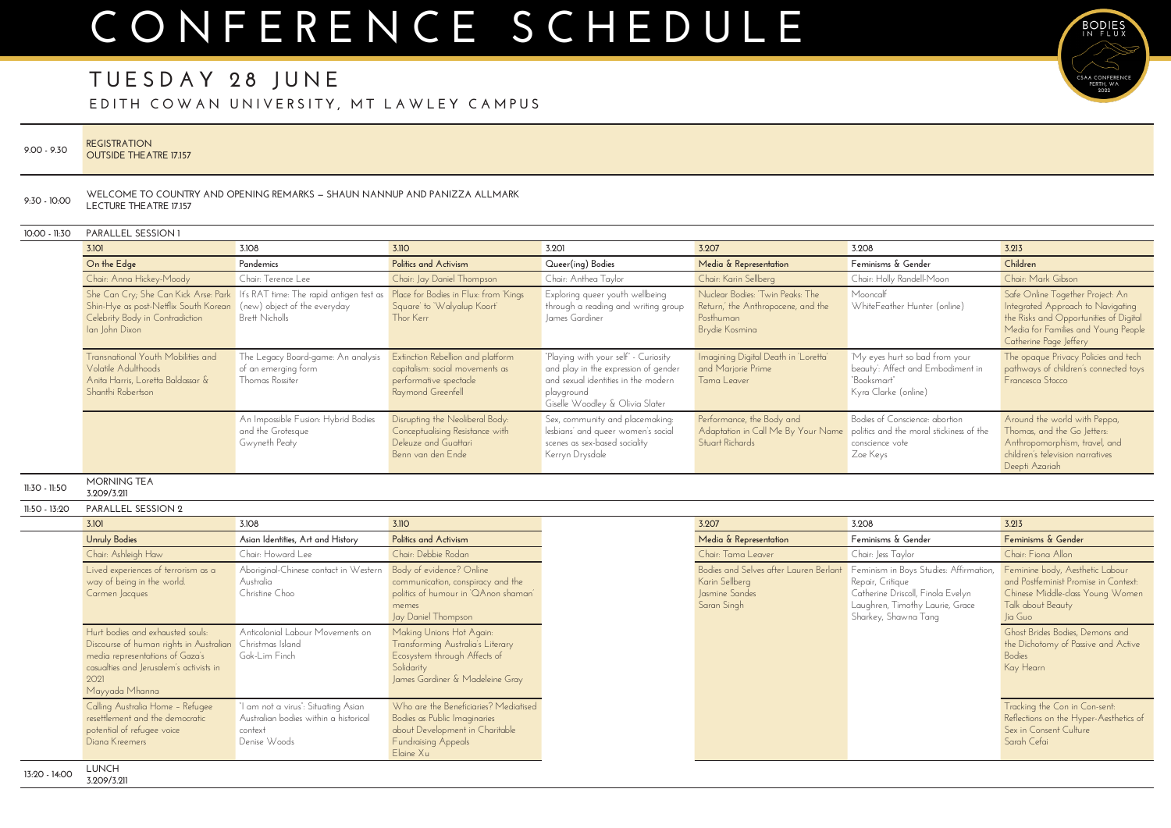## **TUESDAY 28 JUNE**

**E DITH COWAN UNIVERSITY, MT LAWLEY CAMPUS**

| $9.00 - 9.30$  | <b>REGISTRATION</b><br><b>OUTSIDE THE ATRE 17.157</b>                                                                                                                                                |                                                                                                                                          |                                                                                                                                                     |                                                                                                                                                                      |                                                                                                       |                                                                                                                                                                                                                                   |                                                                                                                                                                                  |
|----------------|------------------------------------------------------------------------------------------------------------------------------------------------------------------------------------------------------|------------------------------------------------------------------------------------------------------------------------------------------|-----------------------------------------------------------------------------------------------------------------------------------------------------|----------------------------------------------------------------------------------------------------------------------------------------------------------------------|-------------------------------------------------------------------------------------------------------|-----------------------------------------------------------------------------------------------------------------------------------------------------------------------------------------------------------------------------------|----------------------------------------------------------------------------------------------------------------------------------------------------------------------------------|
| $9:30 - 10:00$ | <b>LECTURE THEATRE 17.157</b>                                                                                                                                                                        | WELCOME TO COUNTRY AND OPENING REMARKS - SHAUN NANNUP AND PANIZZA ALLMARK                                                                |                                                                                                                                                     |                                                                                                                                                                      |                                                                                                       |                                                                                                                                                                                                                                   |                                                                                                                                                                                  |
| 10:00 - 11:30  | PARALLEL SESSION 1                                                                                                                                                                                   |                                                                                                                                          |                                                                                                                                                     |                                                                                                                                                                      |                                                                                                       |                                                                                                                                                                                                                                   |                                                                                                                                                                                  |
|                | 3.101                                                                                                                                                                                                | 3.108                                                                                                                                    | 3.11O                                                                                                                                               | 3.201                                                                                                                                                                | 3.207                                                                                                 | 3.208                                                                                                                                                                                                                             | 3.213                                                                                                                                                                            |
|                | On the Edge                                                                                                                                                                                          | Pandemics                                                                                                                                | <b>Politics and Activism</b>                                                                                                                        | Queer(ing) Bodies                                                                                                                                                    | Media & Representation                                                                                | Feminisms & Gender                                                                                                                                                                                                                | Children                                                                                                                                                                         |
|                | Chair: Anna Hickey-Moody                                                                                                                                                                             | Chair: Terence Lee                                                                                                                       | Chair: Jay Daniel Thompson                                                                                                                          | Chair: Anthea Taylor                                                                                                                                                 | Chair: Karin Sellberg                                                                                 | Chair: Holly Randell-Moon                                                                                                                                                                                                         | Chair: Mark Gibson                                                                                                                                                               |
|                | Shin-Hye as post-Netflix South Korean<br>Celebrity Body in Contradiction<br>Ian John Dixon                                                                                                           | She Can Cry; She Can Kick Arse: Park   It's RAT time: The rapid antigen test as<br>(new) object of the everyday<br><b>Brett Nicholls</b> | Place for Bodies in Flux: from Kings<br>Square' to 'Walyalup Koort'<br>Thor Kerr                                                                    | Exploring queer youth wellbeing<br>through a reading and writing group<br>James Gardiner                                                                             | Nuclear Bodies: 'Twin Peaks: The<br>Return,' the Anthropocene, and the<br>Posthuman<br>Brydie Kosmina | Mooncalf<br>WhiteFeather Hunter (online)                                                                                                                                                                                          | Safe Online Together Project: An<br>Integrated Approach to Navigating<br>the Risks and Opportunities of Digital<br>Media for Families and Young People<br>Catherine Page Jeffery |
|                | <b>Transnational Youth Mobilities and</b><br>Volatile Adulthoods<br>Anita Harris, Loretta Baldassar &<br>Shanthi Robertson                                                                           | The Legacy Board-game: An analysis<br>of an emerging form<br>Thomas Rossiter                                                             | Extinction Rebellion and platform<br>capitalism: social movements as<br>performative spectacle<br>Raymond Greenfell                                 | "Playing with your self" - Curiosity<br>and play in the expression of gender<br>and sexual identities in the modern<br>playground<br>Giselle Woodley & Olivia Slater | Imagining Digital Death in 'Loretta'<br>and Marjorie Prime<br>Tama Leaver                             | 'My eyes hurt so bad from your<br>beauty: Affect and Embodiment in<br>"Booksmart"<br>Kyra Clarke (online)                                                                                                                         | The opaque Privacy Policies and tech<br>pathways of children's connected toys<br>Francesca Stocco                                                                                |
|                |                                                                                                                                                                                                      | An Impossible Fusion: Hybrid Bodies<br>and the Grotesque<br>Gwyneth Peaty                                                                | Disrupting the Neoliberal Body:<br>Conceptualising Resistance with<br>Deleuze and Guattari<br>Benn van den Ende                                     | Sex, community and placemaking:<br>lesbians' and queer women's social<br>scenes as sex-based sociality<br>Kerryn Drysdale                                            | Performance, the Body and<br>Adaptation in Call Me By Your Name<br><b>Stuart Richards</b>             | Bodies of Conscience: abortion<br>politics and the moral stickiness of the<br>conscience vote<br>Zoe Keys                                                                                                                         | Around the world with Peppa,<br>Thomas, and the Go Jetters:<br>Anthropomorphism, travel, and<br>children's television narratives<br>Deepti Azariah                               |
| II:30 - II:50  | <b>MORNING TEA</b><br>3.209/3.211                                                                                                                                                                    |                                                                                                                                          |                                                                                                                                                     |                                                                                                                                                                      |                                                                                                       |                                                                                                                                                                                                                                   |                                                                                                                                                                                  |
| II:50 - 13:20  | PARALLEL SESSION 2                                                                                                                                                                                   |                                                                                                                                          |                                                                                                                                                     |                                                                                                                                                                      |                                                                                                       |                                                                                                                                                                                                                                   |                                                                                                                                                                                  |
|                | 3.101                                                                                                                                                                                                | 3.108                                                                                                                                    | 3.110                                                                                                                                               |                                                                                                                                                                      | 3.207                                                                                                 | 3.208                                                                                                                                                                                                                             | 3.213                                                                                                                                                                            |
|                | <b>Unruly Bodies</b>                                                                                                                                                                                 | Asian Identities, Art and History                                                                                                        | <b>Politics and Activism</b>                                                                                                                        |                                                                                                                                                                      | Media & Representation                                                                                | Feminisms & Gender                                                                                                                                                                                                                | Feminisms & Gender                                                                                                                                                               |
|                | Chair: Ashleigh Haw                                                                                                                                                                                  | Chair: Howard Lee                                                                                                                        | Chair: Debbie Rodan                                                                                                                                 |                                                                                                                                                                      | Chair: Tama Leaver                                                                                    | Chair: Jess Taylor                                                                                                                                                                                                                | Chair: Fiona Allon                                                                                                                                                               |
|                | Lived experiences of terrorism as a<br>way of being in the world.<br>Carmen Jacques                                                                                                                  | Aboriginal-Chinese contact in Western Body of evidence? Online<br>Australia<br>Christine Choo                                            | communication, conspiracy and the<br>politics of humour in 'QAnon shaman<br>memes<br>Jay Daniel Thompson                                            |                                                                                                                                                                      | Karin Sellberg<br>Jasmine Sandes<br>Saran Singh                                                       | Bodies and Selves after Lauren Berlant Feminism in Boys Studies: Affirmation, Feminine body, Aesthetic Labour<br>Repair, Critique<br>Catherine Driscoll, Finola Evelyn<br>Laughren, Timothy Laurie, Grace<br>Sharkey, Shawna Tang | and Postfeminist Promise in Context:<br>Chinese Middle-class Young Women<br>Talk about Beauty<br>Jia Guo                                                                         |
|                | Hurt bodies and exhausted souls:<br>Discourse of human rights in Australian Christmas Island<br>media representations of Gaza's<br>casualties and Jerusalem's activists in<br>2021<br>Mayyada Mhanna | Anticolonial Labour Movements on<br>Gok-Lim Finch                                                                                        | Making Unions Hot Again:<br>Transforming Australia's Literary<br>Ecosystem through Affects of<br>Solidarity<br>James Gardiner & Madeleine Gray      |                                                                                                                                                                      |                                                                                                       |                                                                                                                                                                                                                                   | Ghost Brides Bodies, Demons and<br>the Dichotomy of Passive and Active<br>Bodies<br>Kay Hearn                                                                                    |
|                | Calling Australia Home - Refugee<br>resettlement and the democratic<br>potential of refugee voice<br>Diana Kreemers                                                                                  | "I am not a virus": Situating Asian<br>Australian bodies within a historical<br>context<br>Denise Woods                                  | Who are the Beneficiaries? Mediatised<br>Bodies as Public Imaginaries<br>about Development in Charitable<br><b>Fundraising Appeals</b><br>Elaine Xu |                                                                                                                                                                      |                                                                                                       |                                                                                                                                                                                                                                   | Tracking the Con in Con-sent:<br>Reflections on the Hyper-Aesthetics of<br>Sex in Consent Culture<br>Sarah Cefai                                                                 |
| 13:20 - 14:00  | <b>LUNCH</b><br>3.209/3.211                                                                                                                                                                          |                                                                                                                                          |                                                                                                                                                     |                                                                                                                                                                      |                                                                                                       |                                                                                                                                                                                                                                   |                                                                                                                                                                                  |

BODIES

SAA CONFEREN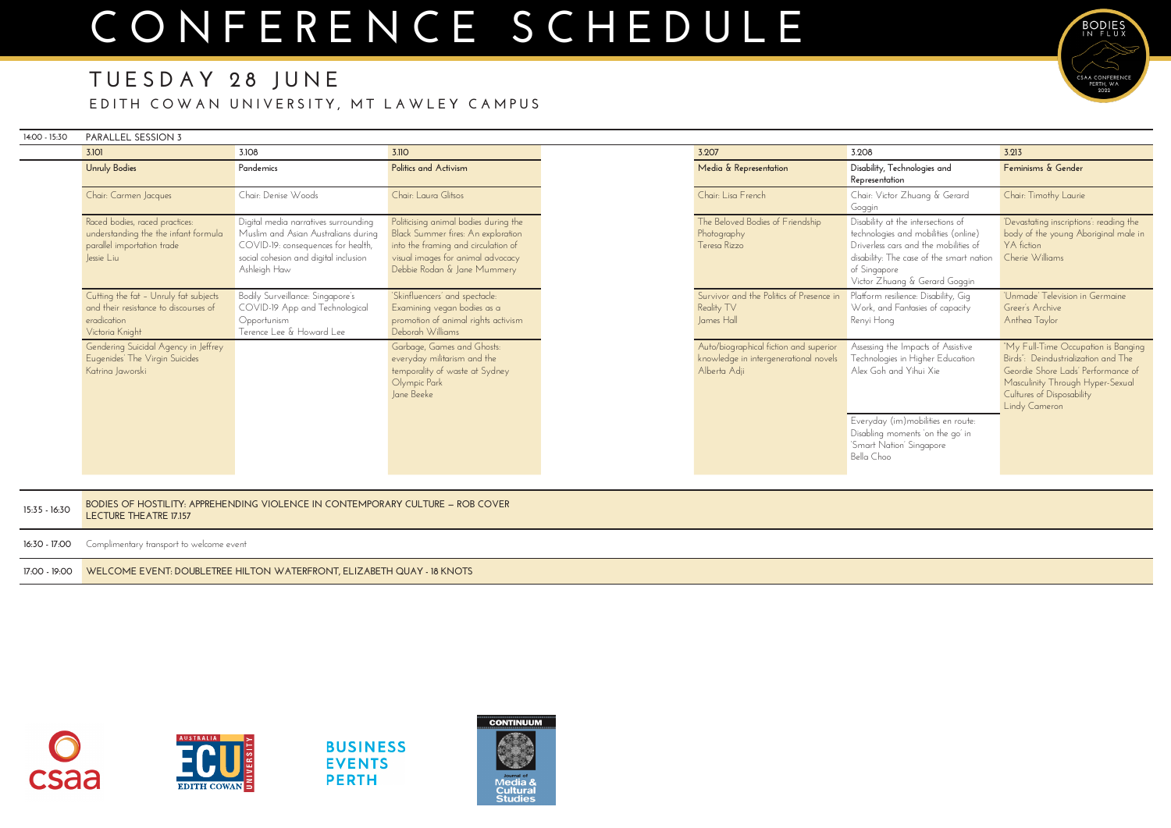| 14:00 - 15:30 | PARALLEL SESSION 3                                                                                                 |                                                                                                                                                                            |                                                                                                                                                                                        |                                                                                                 |                                                                                                                                                                                                                  |                                                                                                                                                                                                    |
|---------------|--------------------------------------------------------------------------------------------------------------------|----------------------------------------------------------------------------------------------------------------------------------------------------------------------------|----------------------------------------------------------------------------------------------------------------------------------------------------------------------------------------|-------------------------------------------------------------------------------------------------|------------------------------------------------------------------------------------------------------------------------------------------------------------------------------------------------------------------|----------------------------------------------------------------------------------------------------------------------------------------------------------------------------------------------------|
|               | 3.101                                                                                                              | 3.108                                                                                                                                                                      | 3.110                                                                                                                                                                                  | 3.207                                                                                           | 3.208                                                                                                                                                                                                            | 3.213                                                                                                                                                                                              |
|               | <b>Unruly Bodies</b>                                                                                               | Pandemics                                                                                                                                                                  | Politics and Activism                                                                                                                                                                  | Media & Representation                                                                          | Disability, Technologies and<br>Representation                                                                                                                                                                   | Feminisms & Gender                                                                                                                                                                                 |
|               | Chair: Carmen Jacques                                                                                              | Chair: Denise Woods                                                                                                                                                        | Chair: Laura Glitsos                                                                                                                                                                   | Chair: Lisa French                                                                              | Chair: Victor Zhuang & Gerard<br>Goggin                                                                                                                                                                          | Chair: Timothy Laurie                                                                                                                                                                              |
|               | Raced bodies, raced practices:<br>understanding the the infant formula<br>parallel importation trade<br>Jessie Liu | Digital media narratives surrounding<br>Muslim and Asian Australians during<br>COVID-19: consequences for health,<br>social cohesion and digital inclusion<br>Ashleigh Haw | Politicising animal bodies during the<br>Black Summer fires: An exploration<br>into the framing and circulation of<br>visual images for animal advocacy<br>Debbie Rodan & Jane Mummery | The Beloved Bodies of Friendship<br>Photography<br>Teresa Rizzo                                 | Disability at the intersections of<br>technologies and mobilities (online)<br>Driverless cars and the mobilities of<br>disability: The case of the smart nation<br>of Singapore<br>Victor Zhuang & Gerard Goggin | 'Devastating inscriptions': reading the<br>body of the young Aboriginal male in<br>YA fiction<br>Cherie Williams                                                                                   |
|               | Cutting the fat - Unruly fat subjects<br>and their resistance to discourses of<br>eradication<br>Victoria Knight   | Bodily Surveillance: Singapore's<br>COVID-19 App and Technological<br>Opportunism<br>Terence Lee & Howard Lee                                                              | 'Skinfluencers' and spectacle:<br>Examining vegan bodies as a<br>promotion of animal rights activism<br>Deborah Williams                                                               | Survivor and the Politics of Presence in<br>Reality TV<br>James Hall                            | Platform resilience: Disability, Gig<br>Work, and Fantasies of capacity<br>Renyi Hong                                                                                                                            | 'Unmade' Television in Germaine<br>Greer's Archive<br>Anthea Taylor                                                                                                                                |
|               | Gendering Suicidal Agency in Jeffrey<br>Eugenides' The Virgin Suicides<br>Katrina Jaworski                         |                                                                                                                                                                            | Garbage, Games and Ghosts:<br>everyday militarism and the<br>temporality of waste at Sydney<br>Olympic Park<br>Jane Beeke                                                              | Auto/biographical fiction and superior<br>knowledge in intergenerational novels<br>Alberta Adji | Assessing the Impacts of Assistive<br>Technologies in Higher Education<br>Alex Goh and Yihui Xie                                                                                                                 | "My Full-Time Occupation is Banging<br>Birds": Deindustrialization and The<br>Geordie Shore Lads' Performance of<br>Masculinity Through Hyper-Sexual<br>Cultures of Disposability<br>Lindy Cameron |
|               |                                                                                                                    |                                                                                                                                                                            |                                                                                                                                                                                        |                                                                                                 | Everyday (im) mobilities en route:<br>Disabling moments on the go' in<br>'Smart Nation' Singapore<br>Bella Choo                                                                                                  |                                                                                                                                                                                                    |
| 15:35 - 16:30 | BODIES OF HOSTILITY: APPREHENDING VIOLENCE IN CONTEMPORARY CULTURE - ROB COVER<br>LECTURE THEATRE 17.157           |                                                                                                                                                                            |                                                                                                                                                                                        |                                                                                                 |                                                                                                                                                                                                                  |                                                                                                                                                                                                    |
| 16:30 - 17:00 | Complimentary transport to welcome event                                                                           |                                                                                                                                                                            |                                                                                                                                                                                        |                                                                                                 |                                                                                                                                                                                                                  |                                                                                                                                                                                                    |
| 17:00 - 19:00 | WELCOME EVENT: DOUBLETREE HILTON WATERFRONT, ELIZABETH QUAY - 18 KNOTS                                             |                                                                                                                                                                            |                                                                                                                                                                                        |                                                                                                 |                                                                                                                                                                                                                  |                                                                                                                                                                                                    |





**BUSINESS EVENTS PERTH** 





### **TUESDAY 28 JUNE E DITH COWAN UNIVERSITY, MT LAWLEY CAMPUS**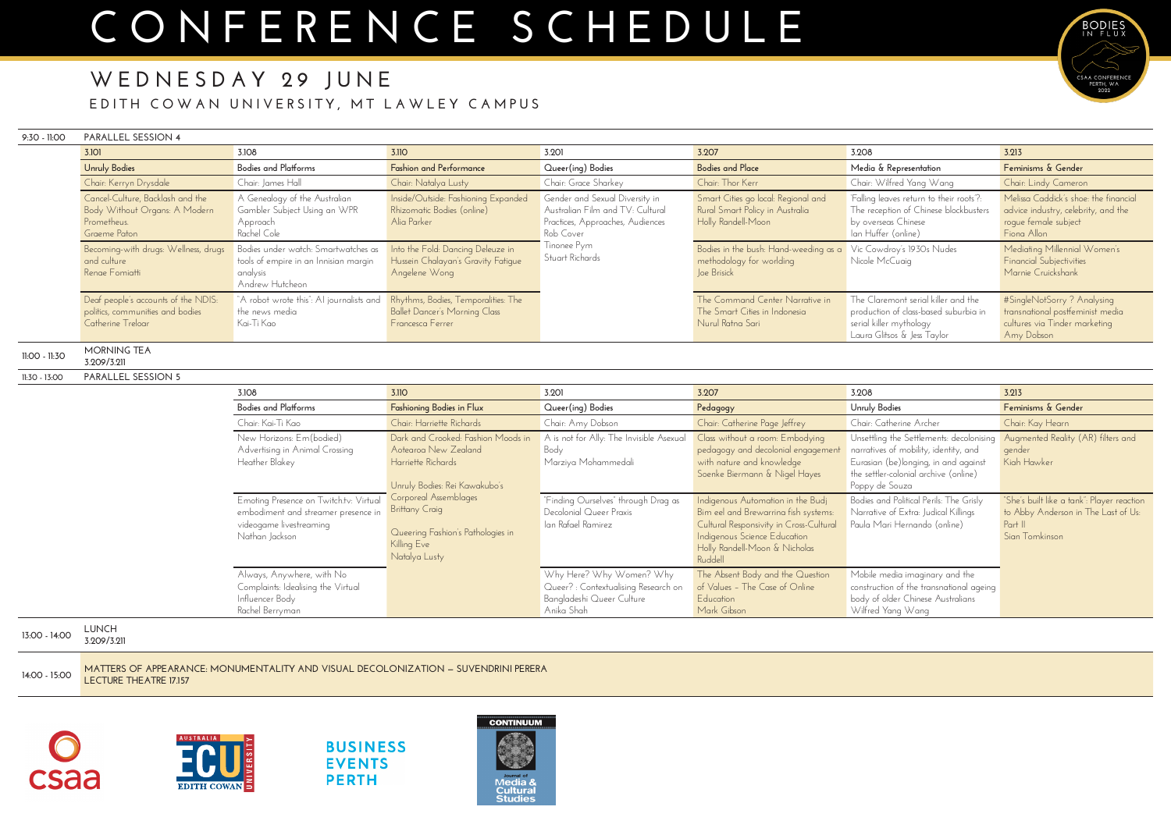### **WEDNESDAY 29 JUNE E DITH COWAN UNIVERSITY, MT LAWLEY CAMPUS**

#### **9:30 - 11:00 PARALLEL SESSION 4**

**3.108 3.110 3.201 3.207 3.208 3.213 Bodies and Platforms Fashioning Bodies in Flux Queer(ing) Bodies Pedagogy Unruly Bodies Feminisms & Gender** Chair: Kai-Ti Kao Chair: Harriette Richards Chair: Amy Dobson Chair: Chair: Catherine Page Jeffrey Chair: Co New Horizons: Em(bodied) Advertising in Animal Crossing Heather Blakey Dark and Crooked: Fashion Moods in Aotearoa New Zealand Harriette Richards Unruly Bodies: Rei Kawakubo's Corporeal Assemblages **Brittany Craig** Queering Fashion's Pathologies in Killing Eve Natalya Lusty A is not for Ally: The Invisible Asexual Body Marziya Mohammedali Class without a room: Embodying pedagogy and decolonial engagement with nature and knowledge Soenke Biermann & Nigel Hayes Unsettling narratives Eurasian the settle Poppy de Emoting Presence on Twitch.tv: Virtual embodiment and streamer presence in videogame livestreaming Nathan Jackson "Finding Ourselves" through Drag as Decolonial Queer Praxis Ian Rafael Ramirez Indigenous Automation in the Budj Bim eel and Brewarrina fish systems: Cultural Responsivity in Cross-Cultural Indigenous Science Education Holly Randell-Moon & Nicholas Ruddell Bodies and Narrative Paula Ma Always, Anywhere, with No Complaints: Idealising the Virtual Influencer Body Rachel Berryman Why Here? Why Women? Why Queer? : Contextualising Research on Bangladeshi Queer Culture Anika Shah The Absent Body and the Question of Values – The Case of Online Education Mark Gibson Mobile m construct body of c Wilfred

| <b>3.101</b>                                                                                                                                                              | 3.108                                                                                                                                                                                                   | 3.110                                                                                                                                                                        | 3.201                                                                                                                                                 | 3.207                                                                                                                                                                            | 3.208                                                                                                                                                                          | 3.213                                                                                                                                                                                                        |
|---------------------------------------------------------------------------------------------------------------------------------------------------------------------------|---------------------------------------------------------------------------------------------------------------------------------------------------------------------------------------------------------|------------------------------------------------------------------------------------------------------------------------------------------------------------------------------|-------------------------------------------------------------------------------------------------------------------------------------------------------|----------------------------------------------------------------------------------------------------------------------------------------------------------------------------------|--------------------------------------------------------------------------------------------------------------------------------------------------------------------------------|--------------------------------------------------------------------------------------------------------------------------------------------------------------------------------------------------------------|
| <b>Unruly Bodies</b>                                                                                                                                                      | <b>Bodies and Platforms</b>                                                                                                                                                                             | <b>Fashion and Performance</b>                                                                                                                                               | Queer(ing) Bodies                                                                                                                                     | <b>Bodies and Place</b>                                                                                                                                                          | Media & Representation                                                                                                                                                         | Feminisms & Gender                                                                                                                                                                                           |
| Chair: Kerryn Drysdale                                                                                                                                                    | Chair: James Hall                                                                                                                                                                                       | Chair: Natalya Lusty                                                                                                                                                         | Chair: Grace Sharkey                                                                                                                                  | Chair: Thor Kerr                                                                                                                                                                 | Chair: Wilfred Yang Wang                                                                                                                                                       | Chair: Lindy Cameron                                                                                                                                                                                         |
| Cancel-Culture, Backlash and the<br>Body Without Organs: A Modern<br>Prometheus.<br>Graeme Paton<br>Becoming-with drugs: Wellness, drugs<br>and culture<br>Renge Fomiatti | A Genealogy of the Australian<br>Gambler Subject Using an WPR<br>Approach<br>Rachel Cole<br>Bodies under watch: Smartwatches as<br>tools of empire in an Innisian margin<br>analysis<br>Andrew Hutcheon | Inside/Outside: Fashioning Expanded<br>Rhizomatic Bodies (online)<br>Alia Parker<br>Into the Fold: Dancing Deleuze in<br>Hussein Chalayan's Gravity Fatique<br>Angelene Wong | Gender and Sexual Diversity in<br>Australian Film and TV: Cultural<br>Practices, Approaches, Audiences<br>Rob Cover<br>Tinonee Pym<br>Stuart Richards | Smart Cities go local: Regional and<br>Rural Smart Policy in Australia<br>Holly Randell-Moon<br>Bodies in the bush: Hand-weeding as a<br>methodology for worlding<br>Joe Brisick | 'Falling leaves return to their roots'?:<br>The reception of Chinese blockbusters<br>by overseas Chinese<br>Ian Huffer (online)<br>Vic Cowdroy's 1930s Nudes<br>Nicole McCuaig | Melissa Caddick's shoe: the financial<br>advice industry, celebrity, and the<br>roque female subject<br>Fiona Allon<br>Mediating Millennial Women's<br><b>Financial Subjectivities</b><br>Marnie Cruickshank |
| Deaf people's accounts of the NDIS:<br>politics, communities and bodies<br>Catherine Treloar                                                                              | "A robot wrote this": AI journalists and<br>the news media<br>  Kai-Ti Kao                                                                                                                              | Rhythms, Bodies, Temporalities: The<br>Ballet Dancer's Morning Class<br>Francesca Ferrer                                                                                     |                                                                                                                                                       | The Command Center Narrative in<br>The Smart Cities in Indonesia<br>Nurul Ratna Sari                                                                                             | The Claremont serial killer and the<br>production of class-based suburbia in<br>serial killer mythology<br>Laura Glitsos & Jess Taylor                                         | #SingleNotSorry ? Analysing<br>transnational postfeminist media<br>cultures via Tinder marketing<br>Amy Dobson                                                                                               |

**11:00 - 11:30 MORNING TEA 3.209/3.211**

**11:30 - 13:00 PARALLEL SESSION 5**

|                                                                                                                                          | 3.213                                                                                                          |
|------------------------------------------------------------------------------------------------------------------------------------------|----------------------------------------------------------------------------------------------------------------|
| odies                                                                                                                                    | Feminisms & Gender                                                                                             |
| therine Archer                                                                                                                           | Chair: Kay Hearn                                                                                               |
| g the Settlements: decolonising<br>s of mobility, identity, and<br>(be)longing, in and against<br>r-colonial archive (online)<br>: Souza | Augmented Reality (AR) filters and<br>gender<br>Kiah Hawker                                                    |
| nd Political Perils: The Grisly<br>e of Extra: Judical Killings<br>ari Hernando (online)                                                 | "She's built like a tank": Player reaction<br>to Abby Anderson in The Last of Us:<br>Part II<br>Sian Tomkinson |
| nedia imaginary and the<br>on of the transnational ageing<br>older Chinese Australians<br>Yang Wang                                      |                                                                                                                |

**13:00 - 14:00 LUNCH 3.209/3.211 14:00 - 15:00 MATTERS OF APPEARANCE: MONUMENTALITY AND VISUAL DECOLONIZATION — SUVENDRINI PERERA LECTURE THEATRE 17.157**





**BUSINESS EVENTS PERTH** 



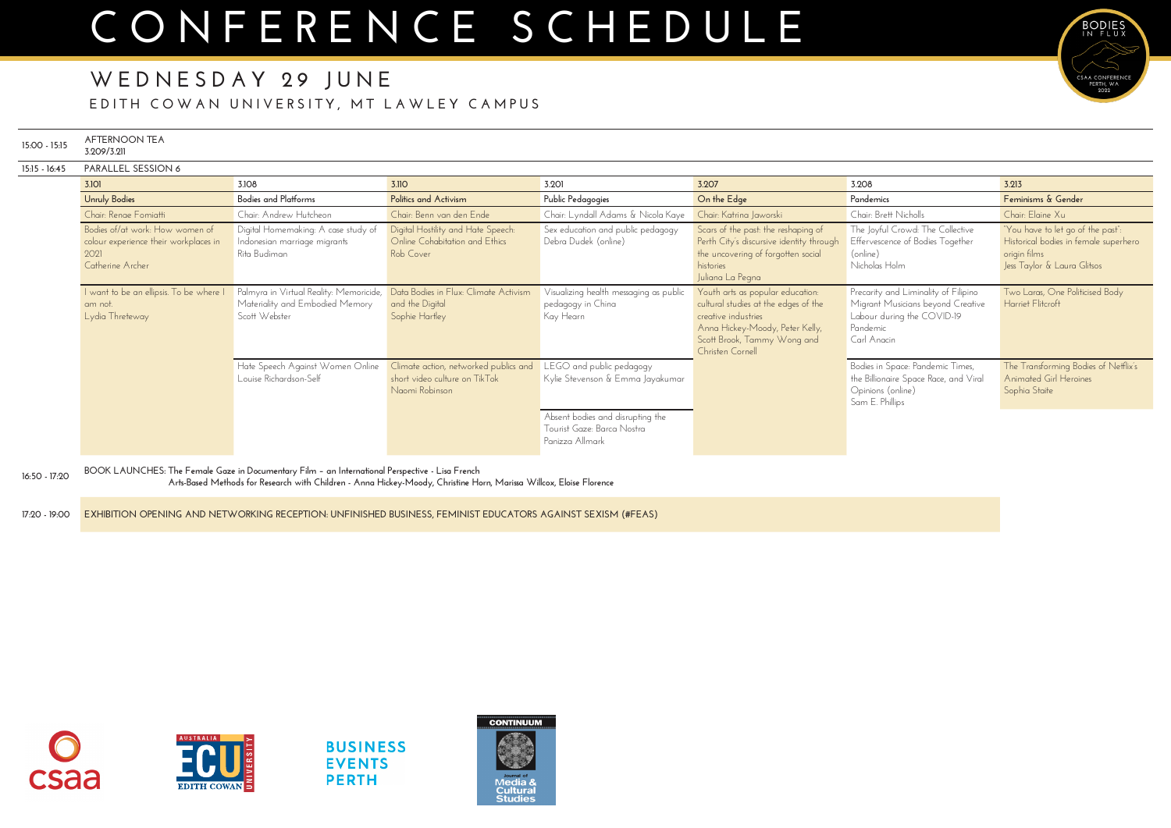| 15:00 - 15:15 | <b>AFTERNOON TEA</b><br>3.209/3.211                                                                  |                                                                                                                                                                                                                        |                                                                                          |                                                                                   |                                                                                                                                                                                       |                                                                                                                                    |                                                                                           |
|---------------|------------------------------------------------------------------------------------------------------|------------------------------------------------------------------------------------------------------------------------------------------------------------------------------------------------------------------------|------------------------------------------------------------------------------------------|-----------------------------------------------------------------------------------|---------------------------------------------------------------------------------------------------------------------------------------------------------------------------------------|------------------------------------------------------------------------------------------------------------------------------------|-------------------------------------------------------------------------------------------|
| 15:15 - 16:45 | PARALLEL SESSION 6                                                                                   |                                                                                                                                                                                                                        |                                                                                          |                                                                                   |                                                                                                                                                                                       |                                                                                                                                    |                                                                                           |
|               | 3.101                                                                                                | 3.108                                                                                                                                                                                                                  | 3.110                                                                                    | 3.201                                                                             | 3.207                                                                                                                                                                                 | 3.208                                                                                                                              | 3.213                                                                                     |
|               | <b>Unruly Bodies</b>                                                                                 | <b>Bodies and Platforms</b>                                                                                                                                                                                            | Politics and Activism                                                                    | Public Pedagogies                                                                 | On the Edge                                                                                                                                                                           | Pandemics                                                                                                                          | Feminisms & Gender                                                                        |
|               | Chair: Renge Fomiatti                                                                                | Chair: Andrew Hutcheon                                                                                                                                                                                                 | Chair: Benn van den Ende                                                                 | Chair: Lyndall Adams & Nicola Kaye                                                | Chair: Katrina Jaworski                                                                                                                                                               | Chair: Brett Nicholls                                                                                                              | Chair: Elaine Xu                                                                          |
|               | Bodies of/at work: How women of<br>colour experience their workplaces in<br>2021<br>Catherine Archer | Digital Homemaking: A case study of<br>Indonesian marriage migrants<br>Rita Budiman                                                                                                                                    | Digital Hostility and Hate Speech:<br>Online Cohabitation and Ethics<br>Rob Cover        | Sex education and public pedagogy<br>Debra Dudek (online)                         | Scars of the past: the reshaping of<br>Perth City's discursive identity through<br>the uncovering of forgotten social<br>histories<br>Juliana La Pegna                                | The Joyful Crowd: The Collective<br>Effervescence of Bodies Together<br>(online)<br>Nicholas Holm                                  | "You have to let go o<br>Historical bodies in fe<br>origin films<br>Jess Taylor & Laura ( |
|               | I want to be an ellipsis. To be where I<br>am not.<br>Lydia Threteway                                | Palmyra in Virtual Reality: Memoricide,<br>Materiality and Embodied Memory<br>Scott Webster                                                                                                                            | Data Bodies in Flux: Climate Activism<br>and the Digital<br>Sophie Hartley               | Visualizing health messaging as public<br>pedagogy in China<br>Kay Hearn          | Youth arts as popular education:<br>cultural studies at the edges of the<br>creative industries<br>Anna Hickey-Moody, Peter Kelly,<br>Scott Brook, Tammy Wong and<br>Christen Cornell | Precarity and Liminality of Filipino<br>Migrant Musicians beyond Creative<br>Labour during the COVID-19<br>Pandemic<br>Carl Anacin | Two Laras, One Polit<br>Harriet Flitcroft                                                 |
|               |                                                                                                      | Hate Speech Against Women Online<br>Louise Richardson-Self                                                                                                                                                             | Climate action, networked publics and<br>short video culture on TikTok<br>Naomi Robinson | LEGO and public pedagogy<br>Kylie Stevenson & Emma Jayakumar                      |                                                                                                                                                                                       | Bodies in Space: Pandemic Times,<br>the Billionaire Space Race, and Viral<br>Opinions (online)<br>Sam E. Phillips                  | The Transforming Bo<br>Animated Girl Heroir<br>Sophia Staite                              |
|               |                                                                                                      |                                                                                                                                                                                                                        |                                                                                          | Absent bodies and disrupting the<br>Tourist Gaze: Barca Nostra<br>Panizza Allmark |                                                                                                                                                                                       |                                                                                                                                    |                                                                                           |
| 16:50 - 17:20 |                                                                                                      | BOOK LAUNCHES: The Female Gaze in Documentary Film - an International Perspective - Lisa French<br>Arts-Based Methods for Research with Children - Anna Hickey-Moody, Christine Horn, Marissa Willcox, Eloise Florence |                                                                                          |                                                                                   |                                                                                                                                                                                       |                                                                                                                                    |                                                                                           |
| 17:20 - 19:00 |                                                                                                      | EXHIBITION OPENING AND NETWORKING RECEPTION: UNFINISHED BUSINESS, FEMINIST EDUCATORS AGAINST SEXISM (#FEAS)                                                                                                            |                                                                                          |                                                                                   |                                                                                                                                                                                       |                                                                                                                                    |                                                                                           |





**BUSINESS EVENTS PERTH** 





BODIES

CSAA CONFERENCE

### **WEDNESDAY 29 JUNE E DITH COWAN UNIVERSITY, MT LAWLEY CAMPUS**